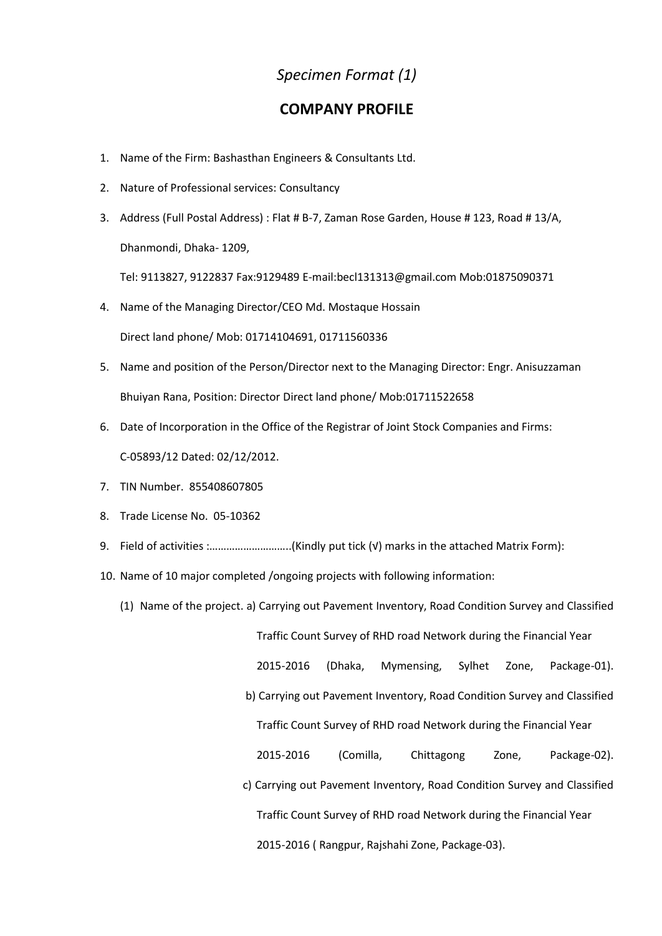## *Specimen Format (1)*

## **COMPANY PROFILE**

- 1. Name of the Firm: Bashasthan Engineers & Consultants Ltd.
- 2. Nature of Professional services: Consultancy
- 3. Address (Full Postal Address) : Flat # B-7, Zaman Rose Garden, House # 123, Road # 13/A, Dhanmondi, Dhaka- 1209,

Tel: 9113827, 9122837 Fax:9129489 E-mail:becl131313@gmail.com Mob:01875090371

4. Name of the Managing Director/CEO Md. Mostaque Hossain

Direct land phone/ Mob: 01714104691, 01711560336

- 5. Name and position of the Person/Director next to the Managing Director: Engr. Anisuzzaman Bhuiyan Rana, Position: Director Direct land phone/ Mob:01711522658
- 6. Date of Incorporation in the Office of the Registrar of Joint Stock Companies and Firms: C-05893/12 Dated: 02/12/2012.
- 7. TIN Number. 855408607805
- 8. Trade License No. 05-10362
- 9. Field of activities :..............................(Kindly put tick (√) marks in the attached Matrix Form):
- 10. Name of 10 major completed /ongoing projects with following information:
	- (1) Name of the project. a) Carrying out Pavement Inventory, Road Condition Survey and Classified

Traffic Count Survey of RHD road Network during the Financial Year

2015-2016 (Dhaka, Mymensing, Sylhet Zone, Package-01).

b) Carrying out Pavement Inventory, Road Condition Survey and Classified

Traffic Count Survey of RHD road Network during the Financial Year

2015-2016 (Comilla, Chittagong Zone, Package-02).

c) Carrying out Pavement Inventory, Road Condition Survey and Classified Traffic Count Survey of RHD road Network during the Financial Year 2015-2016 ( Rangpur, Rajshahi Zone, Package-03).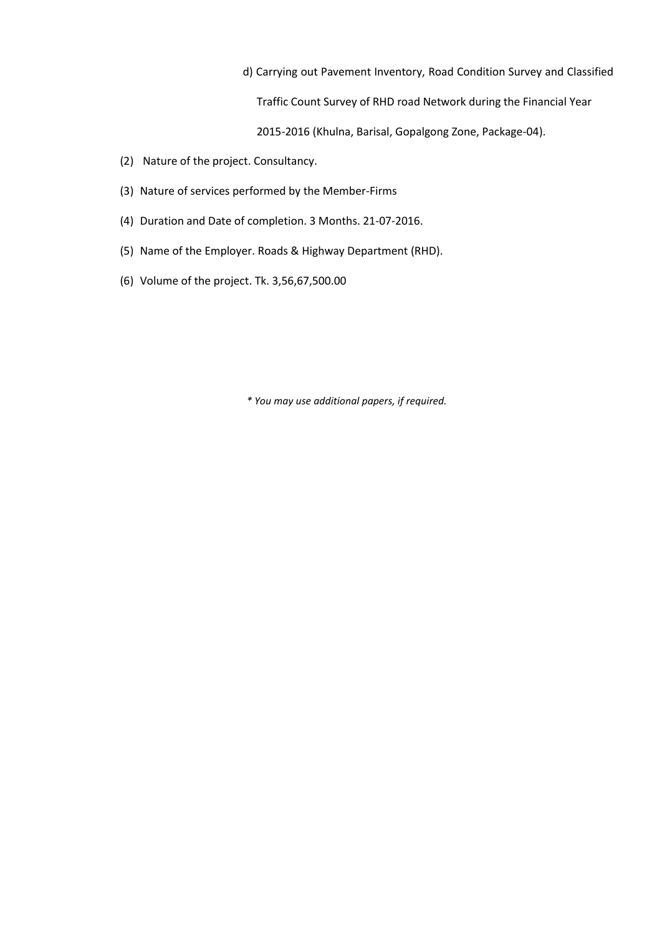d) Carrying out Pavement Inventory, Road Condition Survey and Classified Traffic Count Survey of RHD road Network during the Financial Year

2015-2016 (Khulna, Barisal, Gopalgong Zone, Package-04).

- (2) Nature of the project. Consultancy.
- (3) Nature of services performed by the Member-Firms
- (4) Duration and Date of completion. 3 Months. 21-07-2016.
- (5) Name of the Employer. Roads & Highway Department (RHD).
- (6) Volume of the project. Tk. 3,56,67,500.00

*\* You may use additional papers, if required.*